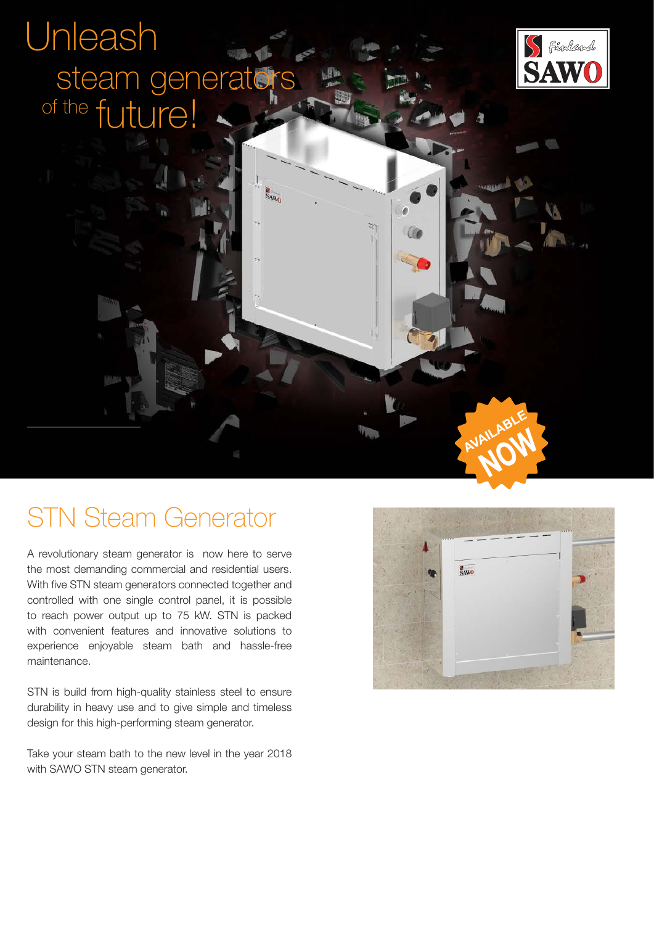# Unleash of the future! steam generators

S<sub>AWO</sub>



## STN Steam Generator

A revolutionary steam generator is now here to serve the most demanding commercial and residential users. With five STN steam generators connected together and controlled with one single control panel, it is possible to reach power output up to 75 kW. STN is packed with convenient features and innovative solutions to experience enjoyable steam bath and hassle-free maintenance.

STN is build from high-quality stainless steel to ensure durability in heavy use and to give simple and timeless design for this high-performing steam generator.

Take your steam bath to the new level in the year 2018 with SAWO STN steam generator.



AVAILABI